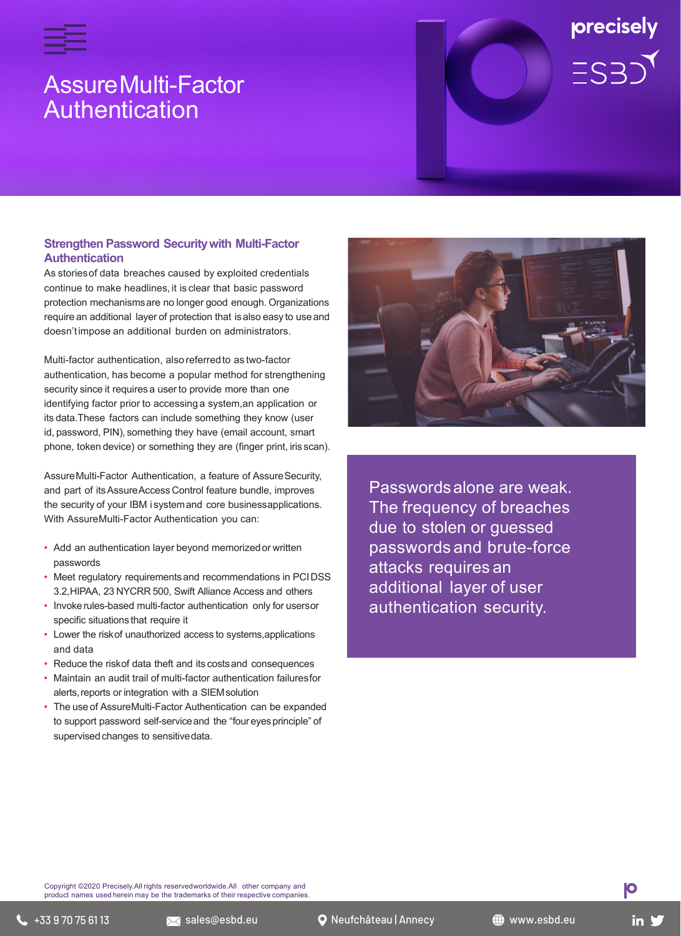

# AssureMulti-Factor **Authentication**

# precisely  $=$ S $\overline{S}$

## **Strengthen Password Securitywith Multi-Factor Authentication**

As storiesof data breaches caused by exploited credentials continue to make headlines, it is clear that basic password protection mechanismsare no longer good enough. Organizations require an additional layer of protection that isalso easy to use and doesn'timpose an additional burden on administrators.

Multi-factor authentication, also referredto as two-factor authentication, has become a popular method for strengthening security since it requires a user to provide more than one identifying factor prior to accessing a system,an application or its data.These factors can include something they know (user id, password, PIN), something they have (email account, smart phone, token device) or something they are (finger print, iris scan).

AssureMulti-Factor Authentication, a feature of AssureSecurity, and part of itsAssureAccess Control feature bundle, improves the security of your IBM i systemand core businessapplications. With AssureMulti-Factor Authentication you can:

- Add an authentication layer beyond memorizedor written passwords
- Meet regulatory requirementsand recommendations in PCIDSS 3.2,HIPAA, 23 NYCRR 500, Swift Alliance Access and others
- Invokerules-based multi-factor authentication only for usersor specific situations that require it
- Lower the riskof unauthorized access to systems,applications and data
- Reduce the riskof data theft and its costs and consequences
- Maintain an audit trail of multi-factor authentication failuresfor alerts,reports or integration with a SIEMsolution
- The useof AssureMulti-Factor Authentication can be expanded to support password self-serviceand the "four eyesprinciple" of supervised changes to sensitive data.



Passwordsalone are weak. The frequency of breaches due to stolen or guessed passwords and brute-force attacks requires an additional layer of user authentication security.

Copyright ©2020 Precisely.All rights reservedworldwide.All other company and product names used herein may be the trademarks of their respective companies

**IO**